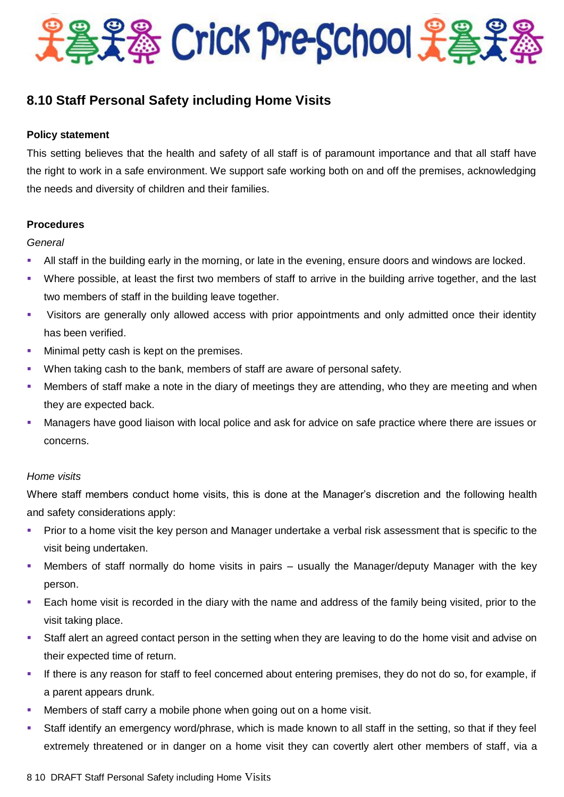

# **8.10 Staff Personal Safety including Home Visits**

## **Policy statement**

This setting believes that the health and safety of all staff is of paramount importance and that all staff have the right to work in a safe environment. We support safe working both on and off the premises, acknowledging the needs and diversity of children and their families.

## **Procedures**

#### *General*

- All staff in the building early in the morning, or late in the evening, ensure doors and windows are locked.
- Where possible, at least the first two members of staff to arrive in the building arrive together, and the last two members of staff in the building leave together.
- Visitors are generally only allowed access with prior appointments and only admitted once their identity has been verified.
- Minimal petty cash is kept on the premises.
- **When taking cash to the bank, members of staff are aware of personal safety.**
- Members of staff make a note in the diary of meetings they are attending, who they are meeting and when they are expected back.
- Managers have good liaison with local police and ask for advice on safe practice where there are issues or concerns.

#### *Home visits*

Where staff members conduct home visits, this is done at the Manager's discretion and the following health and safety considerations apply:

- Prior to a home visit the key person and Manager undertake a verbal risk assessment that is specific to the visit being undertaken.
- Members of staff normally do home visits in pairs usually the Manager/deputy Manager with the key person.
- Each home visit is recorded in the diary with the name and address of the family being visited, prior to the visit taking place.
- Staff alert an agreed contact person in the setting when they are leaving to do the home visit and advise on their expected time of return.
- If there is any reason for staff to feel concerned about entering premises, they do not do so, for example, if a parent appears drunk.
- Members of staff carry a mobile phone when going out on a home visit.
- Staff identify an emergency word/phrase, which is made known to all staff in the setting, so that if they feel extremely threatened or in danger on a home visit they can covertly alert other members of staff, via a